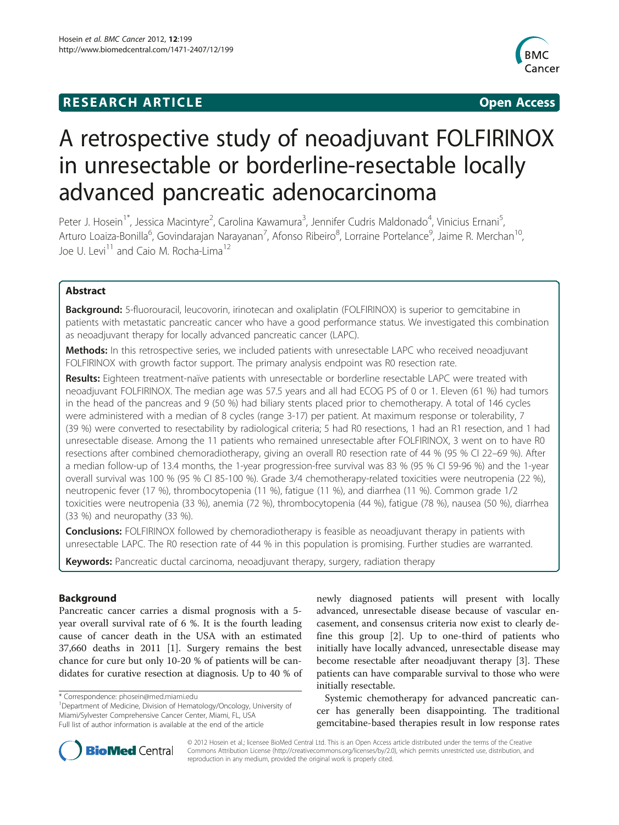# **RESEARCH ARTICLE Example 2014 12:30 The SEAR CHIPS 2014 12:30 The Open Access**



# A retrospective study of neoadjuvant FOLFIRINOX in unresectable or borderline-resectable locally advanced pancreatic adenocarcinoma

Peter J. Hosein<sup>1\*</sup>, Jessica Macintyre<sup>2</sup>, Carolina Kawamura<sup>3</sup>, Jennifer Cudris Maldonado<sup>4</sup>, Vinicius Ernani<sup>5</sup> , Arturo Loaiza-Bonilla<sup>6</sup>, Govindarajan Narayanan<sup>7</sup>, Afonso Ribeiro<sup>8</sup>, Lorraine Portelance<sup>9</sup>, Jaime R. Merchan<sup>10</sup>, Joe U. Levi<sup>11</sup> and Caio M. Rocha-Lima<sup>12</sup>

# Abstract

Background: 5-fluorouracil, leucovorin, irinotecan and oxaliplatin (FOLFIRINOX) is superior to gemcitabine in patients with metastatic pancreatic cancer who have a good performance status. We investigated this combination as neoadjuvant therapy for locally advanced pancreatic cancer (LAPC).

Methods: In this retrospective series, we included patients with unresectable LAPC who received neoadjuvant FOLFIRINOX with growth factor support. The primary analysis endpoint was R0 resection rate.

Results: Eighteen treatment-naïve patients with unresectable or borderline resectable LAPC were treated with neoadjuvant FOLFIRINOX. The median age was 57.5 years and all had ECOG PS of 0 or 1. Eleven (61 %) had tumors in the head of the pancreas and 9 (50 %) had biliary stents placed prior to chemotherapy. A total of 146 cycles were administered with a median of 8 cycles (range 3-17) per patient. At maximum response or tolerability, 7 (39 %) were converted to resectability by radiological criteria; 5 had R0 resections, 1 had an R1 resection, and 1 had unresectable disease. Among the 11 patients who remained unresectable after FOLFIRINOX, 3 went on to have R0 resections after combined chemoradiotherapy, giving an overall R0 resection rate of 44 % (95 % CI 22–69 %). After a median follow-up of 13.4 months, the 1-year progression-free survival was 83 % (95 % CI 59-96 %) and the 1-year overall survival was 100 % (95 % CI 85-100 %). Grade 3/4 chemotherapy-related toxicities were neutropenia (22 %), neutropenic fever (17 %), thrombocytopenia (11 %), fatigue (11 %), and diarrhea (11 %). Common grade 1/2 toxicities were neutropenia (33 %), anemia (72 %), thrombocytopenia (44 %), fatigue (78 %), nausea (50 %), diarrhea (33 %) and neuropathy (33 %).

**Conclusions:** FOLFIRINOX followed by chemoradiotherapy is feasible as neoadjuvant therapy in patients with unresectable LAPC. The R0 resection rate of 44 % in this population is promising. Further studies are warranted.

Keywords: Pancreatic ductal carcinoma, neoadjuvant therapy, surgery, radiation therapy

# Background

Pancreatic cancer carries a dismal prognosis with a 5 year overall survival rate of 6 %. It is the fourth leading cause of cancer death in the USA with an estimated 37,660 deaths in 2011 [[1\]](#page-6-0). Surgery remains the best chance for cure but only 10-20 % of patients will be candidates for curative resection at diagnosis. Up to 40 % of

<sup>1</sup>Department of Medicine, Division of Hematology/Oncology, University of Miami/Sylvester Comprehensive Cancer Center, Miami, FL, USA Full list of author information is available at the end of the article

newly diagnosed patients will present with locally advanced, unresectable disease because of vascular encasement, and consensus criteria now exist to clearly define this group [[2](#page-6-0)]. Up to one-third of patients who initially have locally advanced, unresectable disease may become resectable after neoadjuvant therapy [[3\]](#page-6-0). These patients can have comparable survival to those who were initially resectable.

Systemic chemotherapy for advanced pancreatic cancer has generally been disappointing. The traditional gemcitabine-based therapies result in low response rates



© 2012 Hosein et al.; licensee BioMed Central Ltd. This is an Open Access article distributed under the terms of the Creative Commons Attribution License [\(http://creativecommons.org/licenses/by/2.0\)](http://creativecommons.org/licenses/by/2.0), which permits unrestricted use, distribution, and reproduction in any medium, provided the original work is properly cited.

<sup>\*</sup> Correspondence: [phosein@med.miami.edu](mailto:phosein@med.miami.edu) <sup>1</sup>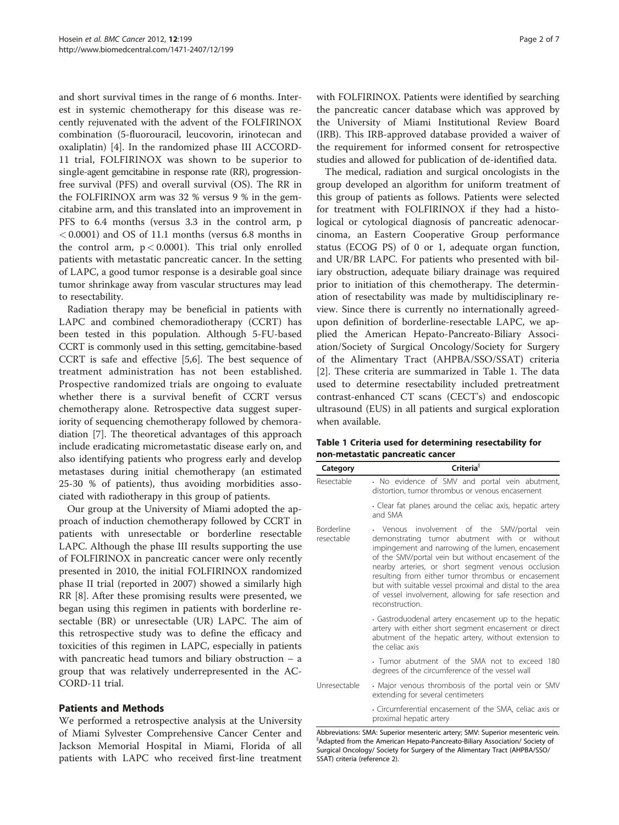and short survival times in the range of 6 months. Interest in systemic chemotherapy for this disease was recently rejuvenated with the advent of the FOLFIRINOX combination (5-fluorouracil, leucovorin, irinotecan and oxaliplatin) [[4\]](#page-6-0). In the randomized phase III ACCORD-11 trial, FOLFIRINOX was shown to be superior to single-agent gemcitabine in response rate (RR), progressionfree survival (PFS) and overall survival (OS). The RR in the FOLFIRINOX arm was 32 % versus 9 % in the gemcitabine arm, and this translated into an improvement in PFS to 6.4 months (versus 3.3 in the control arm, p < 0.0001) and OS of 11.1 months (versus 6.8 months in the control arm,  $p < 0.0001$ ). This trial only enrolled patients with metastatic pancreatic cancer. In the setting of LAPC, a good tumor response is a desirable goal since tumor shrinkage away from vascular structures may lead to resectability.

Radiation therapy may be beneficial in patients with LAPC and combined chemoradiotherapy (CCRT) has been tested in this population. Although 5-FU-based CCRT is commonly used in this setting, gemcitabine-based CCRT is safe and effective [[5,6\]](#page-6-0). The best sequence of treatment administration has not been established. Prospective randomized trials are ongoing to evaluate whether there is a survival benefit of CCRT versus chemotherapy alone. Retrospective data suggest superiority of sequencing chemotherapy followed by chemoradiation [\[7](#page-6-0)]. The theoretical advantages of this approach include eradicating micrometastatic disease early on, and also identifying patients who progress early and develop metastases during initial chemotherapy (an estimated 25-30 % of patients), thus avoiding morbidities associated with radiotherapy in this group of patients.

Our group at the University of Miami adopted the approach of induction chemotherapy followed by CCRT in patients with unresectable or borderline resectable LAPC. Although the phase III results supporting the use of FOLFIRINOX in pancreatic cancer were only recently presented in 2010, the initial FOLFIRINOX randomized phase II trial (reported in 2007) showed a similarly high RR [\[8](#page-6-0)]. After these promising results were presented, we began using this regimen in patients with borderline resectable (BR) or unresectable (UR) LAPC. The aim of this retrospective study was to define the efficacy and toxicities of this regimen in LAPC, especially in patients with pancreatic head tumors and biliary obstruction – a group that was relatively underrepresented in the AC-CORD-11 trial.

# Patients and Methods

We performed a retrospective analysis at the University of Miami Sylvester Comprehensive Cancer Center and Jackson Memorial Hospital in Miami, Florida of all patients with LAPC who received first-line treatment with FOLFIRINOX. Patients were identified by searching the pancreatic cancer database which was approved by the University of Miami Institutional Review Board (IRB). This IRB-approved database provided a waiver of the requirement for informed consent for retrospective studies and allowed for publication of de-identified data.

The medical, radiation and surgical oncologists in the group developed an algorithm for uniform treatment of this group of patients as follows. Patients were selected for treatment with FOLFIRINOX if they had a histological or cytological diagnosis of pancreatic adenocarcinoma, an Eastern Cooperative Group performance status (ECOG PS) of 0 or 1, adequate organ function, and UR/BR LAPC. For patients who presented with biliary obstruction, adequate biliary drainage was required prior to initiation of this chemotherapy. The determination of resectability was made by multidisciplinary review. Since there is currently no internationally agreedupon definition of borderline-resectable LAPC, we applied the American Hepato-Pancreato-Biliary Association/Society of Surgical Oncology/Society for Surgery of the Alimentary Tract (AHPBA/SSO/SSAT) criteria [[2\]](#page-6-0). These criteria are summarized in Table 1. The data used to determine resectability included pretreatment contrast-enhanced CT scans (CECT's) and endoscopic ultrasound (EUS) in all patients and surgical exploration when available.

Table 1 Criteria used for determining resectability for non-metastatic pancreatic cancer

| Category                        | Criteria <sup>§</sup>                                                                                                                                                                                                                                                                                                                                                                                                                                          |
|---------------------------------|----------------------------------------------------------------------------------------------------------------------------------------------------------------------------------------------------------------------------------------------------------------------------------------------------------------------------------------------------------------------------------------------------------------------------------------------------------------|
| Resectable                      | . No evidence of SMV and portal vein abutment,<br>distortion, tumor thrombus or venous encasement                                                                                                                                                                                                                                                                                                                                                              |
|                                 | Clear fat planes around the celiac axis, hepatic artery<br>and SMA                                                                                                                                                                                                                                                                                                                                                                                             |
| <b>Borderline</b><br>resectable | • Venous involvement of the SMV/portal vein<br>demonstrating tumor abutment with or without<br>impingement and narrowing of the lumen, encasement<br>of the SMV/portal vein but without encasement of the<br>nearby arteries, or short segment venous occlusion<br>resulting from either tumor thrombus or encasement<br>but with suitable vessel proximal and distal to the area<br>of vessel involvement, allowing for safe resection and<br>reconstruction. |
|                                 | Gastroduodenal artery encasement up to the hepatic<br>artery with either short segment encasement or direct<br>abutment of the hepatic artery, without extension to<br>the celiac axis                                                                                                                                                                                                                                                                         |
|                                 | · Tumor abutment of the SMA not to exceed 180<br>degrees of the circumference of the vessel wall                                                                                                                                                                                                                                                                                                                                                               |
| Unresectable                    | . Major venous thrombosis of the portal vein or SMV<br>extending for several centimeters                                                                                                                                                                                                                                                                                                                                                                       |
|                                 | Circumferential encasement of the SMA, celiac axis or<br>proximal hepatic artery                                                                                                                                                                                                                                                                                                                                                                               |

Abbreviations: SMA: Superior mesenteric artery; SMV: Superior mesenteric vein. §Adapted from the American Hepato-Pancreato-Biliary Association/ Society of Surgical Oncology/ Society for Surgery of the Alimentary Tract (AHPBA/SSO/ SSAT) criteria (reference 2).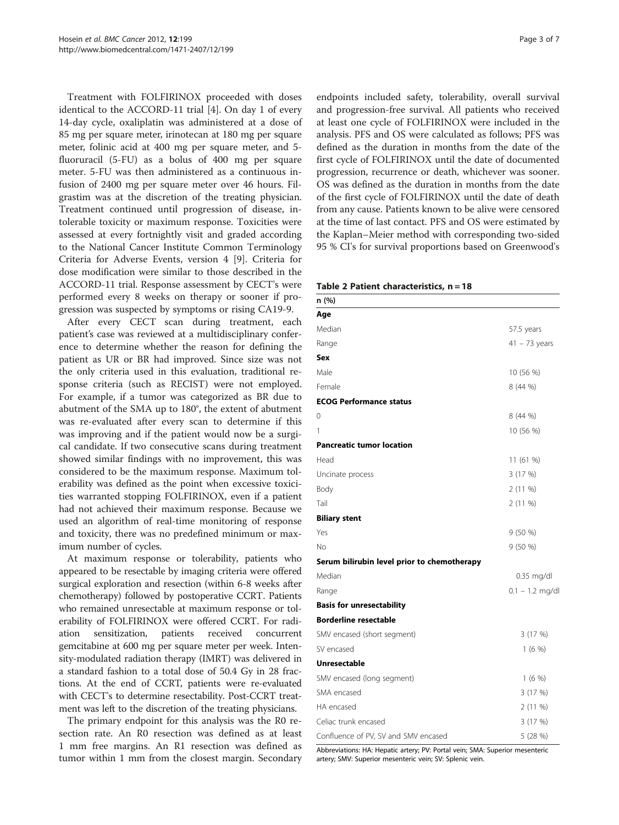<span id="page-2-0"></span>Treatment with FOLFIRINOX proceeded with doses identical to the ACCORD-11 trial [[4\]](#page-6-0). On day 1 of every 14-day cycle, oxaliplatin was administered at a dose of 85 mg per square meter, irinotecan at 180 mg per square meter, folinic acid at 400 mg per square meter, and 5 fluoruracil (5-FU) as a bolus of 400 mg per square meter. 5-FU was then administered as a continuous infusion of 2400 mg per square meter over 46 hours. Filgrastim was at the discretion of the treating physician. Treatment continued until progression of disease, intolerable toxicity or maximum response. Toxicities were assessed at every fortnightly visit and graded according to the National Cancer Institute Common Terminology Criteria for Adverse Events, version 4 [[9\]](#page-6-0). Criteria for dose modification were similar to those described in the ACCORD-11 trial. Response assessment by CECT's were performed every 8 weeks on therapy or sooner if progression was suspected by symptoms or rising CA19-9.

After every CECT scan during treatment, each patient's case was reviewed at a multidisciplinary conference to determine whether the reason for defining the patient as UR or BR had improved. Since size was not the only criteria used in this evaluation, traditional response criteria (such as RECIST) were not employed. For example, if a tumor was categorized as BR due to abutment of the SMA up to 180°, the extent of abutment was re-evaluated after every scan to determine if this was improving and if the patient would now be a surgical candidate. If two consecutive scans during treatment showed similar findings with no improvement, this was considered to be the maximum response. Maximum tolerability was defined as the point when excessive toxicities warranted stopping FOLFIRINOX, even if a patient had not achieved their maximum response. Because we used an algorithm of real-time monitoring of response and toxicity, there was no predefined minimum or maximum number of cycles.

At maximum response or tolerability, patients who appeared to be resectable by imaging criteria were offered surgical exploration and resection (within 6-8 weeks after chemotherapy) followed by postoperative CCRT. Patients who remained unresectable at maximum response or tolerability of FOLFIRINOX were offered CCRT. For radiation sensitization, patients received concurrent gemcitabine at 600 mg per square meter per week. Intensity-modulated radiation therapy (IMRT) was delivered in a standard fashion to a total dose of 50.4 Gy in 28 fractions. At the end of CCRT, patients were re-evaluated with CECT's to determine resectability. Post-CCRT treatment was left to the discretion of the treating physicians.

The primary endpoint for this analysis was the R0 resection rate. An R0 resection was defined as at least 1 mm free margins. An R1 resection was defined as tumor within 1 mm from the closest margin. Secondary

endpoints included safety, tolerability, overall survival and progression-free survival. All patients who received at least one cycle of FOLFIRINOX were included in the analysis. PFS and OS were calculated as follows; PFS was defined as the duration in months from the date of the first cycle of FOLFIRINOX until the date of documented progression, recurrence or death, whichever was sooner. OS was defined as the duration in months from the date of the first cycle of FOLFIRINOX until the date of death from any cause. Patients known to be alive were censored at the time of last contact. PFS and OS were estimated by the Kaplan–Meier method with corresponding two-sided 95 % CI's for survival proportions based on Greenwood's

|  |  | Table 2 Patient characteristics, n = 18 |  |
|--|--|-----------------------------------------|--|
|--|--|-----------------------------------------|--|

| n (%)                                       |                   |
|---------------------------------------------|-------------------|
| Age                                         |                   |
| Median                                      | 57.5 years        |
| Range                                       | $41 - 73$ years   |
| Sex                                         |                   |
| Male                                        | 10 (56 %)         |
| Female                                      | 8 (44 %)          |
| <b>ECOG Performance status</b>              |                   |
| 0                                           | 8 (44 %)          |
| 1                                           | 10 (56 %)         |
| <b>Pancreatic tumor location</b>            |                   |
| Head                                        | 11 (61 %)         |
| Uncinate process                            | 3 (17 %)          |
| Body                                        | 2 (11 %)          |
| Tail                                        | $2(11\%)$         |
| <b>Biliary stent</b>                        |                   |
| Yes                                         | 9 (50 %)          |
| <b>No</b>                                   | 9 (50 %)          |
| Serum bilirubin level prior to chemotherapy |                   |
| Median                                      | $0.35$ mg/dl      |
| Range                                       | $0.1 - 1.2$ mg/dl |
| <b>Basis for unresectability</b>            |                   |
| <b>Borderline resectable</b>                |                   |
| SMV encased (short segment)                 | 3 (17 %)          |
| SV encased                                  | $1(6\%)$          |
| <b>Unresectable</b>                         |                   |
| SMV encased (long segment)                  | 1(6%)             |
| SMA encased                                 | 3 (17 %)          |
| HA encased                                  | $2(11\%)$         |
| Celiac trunk encased                        | 3 (17 %)          |
| Confluence of PV, SV and SMV encased        | 5 (28 %)          |

Abbreviations: HA: Hepatic artery; PV: Portal vein; SMA: Superior mesenteric artery; SMV: Superior mesenteric vein; SV: Splenic vein.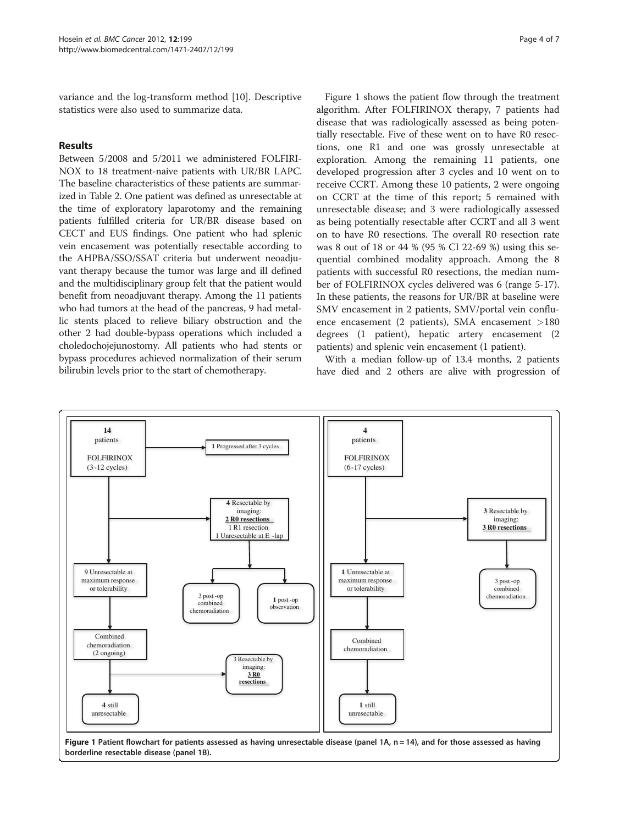variance and the log-transform method [\[10\]](#page-6-0). Descriptive statistics were also used to summarize data.

# Results

Between 5/2008 and 5/2011 we administered FOLFIRI-NOX to 18 treatment-naive patients with UR/BR LAPC. The baseline characteristics of these patients are summarized in Table [2](#page-2-0). One patient was defined as unresectable at the time of exploratory laparotomy and the remaining patients fulfilled criteria for UR/BR disease based on CECT and EUS findings. One patient who had splenic vein encasement was potentially resectable according to the AHPBA/SSO/SSAT criteria but underwent neoadjuvant therapy because the tumor was large and ill defined and the multidisciplinary group felt that the patient would benefit from neoadjuvant therapy. Among the 11 patients who had tumors at the head of the pancreas, 9 had metallic stents placed to relieve biliary obstruction and the other 2 had double-bypass operations which included a choledochojejunostomy. All patients who had stents or bypass procedures achieved normalization of their serum bilirubin levels prior to the start of chemotherapy.

Figure 1 shows the patient flow through the treatment algorithm. After FOLFIRINOX therapy, 7 patients had disease that was radiologically assessed as being potentially resectable. Five of these went on to have R0 resections, one R1 and one was grossly unresectable at exploration. Among the remaining 11 patients, one developed progression after 3 cycles and 10 went on to receive CCRT. Among these 10 patients, 2 were ongoing on CCRT at the time of this report; 5 remained with unresectable disease; and 3 were radiologically assessed as being potentially resectable after CCRT and all 3 went on to have R0 resections. The overall R0 resection rate was 8 out of 18 or 44 % (95 % CI 22-69 %) using this sequential combined modality approach. Among the 8 patients with successful R0 resections, the median number of FOLFIRINOX cycles delivered was 6 (range 5-17). In these patients, the reasons for UR/BR at baseline were SMV encasement in 2 patients, SMV/portal vein confluence encasement (2 patients), SMA encasement >180 degrees (1 patient), hepatic artery encasement (2 patients) and splenic vein encasement (1 patient).

With a median follow-up of 13.4 months, 2 patients have died and 2 others are alive with progression of



Figure 1 Patient flowchart for patients assessed as having unresectable disease (panel 1A, n = 14), and for those assessed as having borderline resectable disease (panel 1B).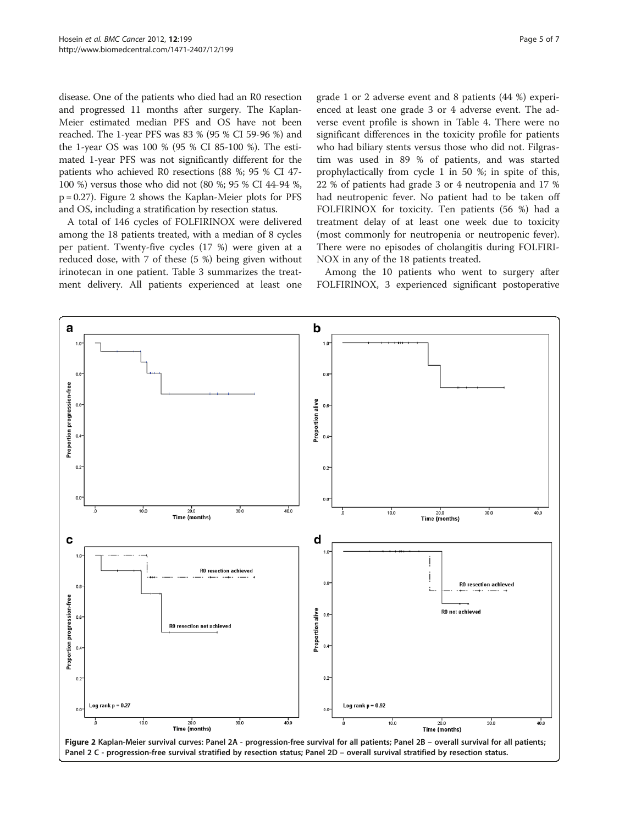disease. One of the patients who died had an R0 resection and progressed 11 months after surgery. The Kaplan-Meier estimated median PFS and OS have not been reached. The 1-year PFS was 83 % (95 % CI 59-96 %) and the 1-year OS was 100 % (95 % CI 85-100 %). The estimated 1-year PFS was not significantly different for the patients who achieved R0 resections (88 %; 95 % CI 47- 100 %) versus those who did not (80 %; 95 % CI 44-94 %, p = 0.27). Figure 2 shows the Kaplan-Meier plots for PFS and OS, including a stratification by resection status.

A total of 146 cycles of FOLFIRINOX were delivered among the 18 patients treated, with a median of 8 cycles per patient. Twenty-five cycles (17 %) were given at a reduced dose, with 7 of these (5 %) being given without irinotecan in one patient. Table [3](#page-5-0) summarizes the treatment delivery. All patients experienced at least one

grade 1 or 2 adverse event and 8 patients (44 %) experienced at least one grade 3 or 4 adverse event. The adverse event profile is shown in Table [4](#page-5-0). There were no significant differences in the toxicity profile for patients who had biliary stents versus those who did not. Filgrastim was used in 89 % of patients, and was started prophylactically from cycle 1 in 50 %; in spite of this, 22 % of patients had grade 3 or 4 neutropenia and 17 % had neutropenic fever. No patient had to be taken off FOLFIRINOX for toxicity. Ten patients (56 %) had a treatment delay of at least one week due to toxicity (most commonly for neutropenia or neutropenic fever). There were no episodes of cholangitis during FOLFIRI-NOX in any of the 18 patients treated.

Among the 10 patients who went to surgery after FOLFIRINOX, 3 experienced significant postoperative

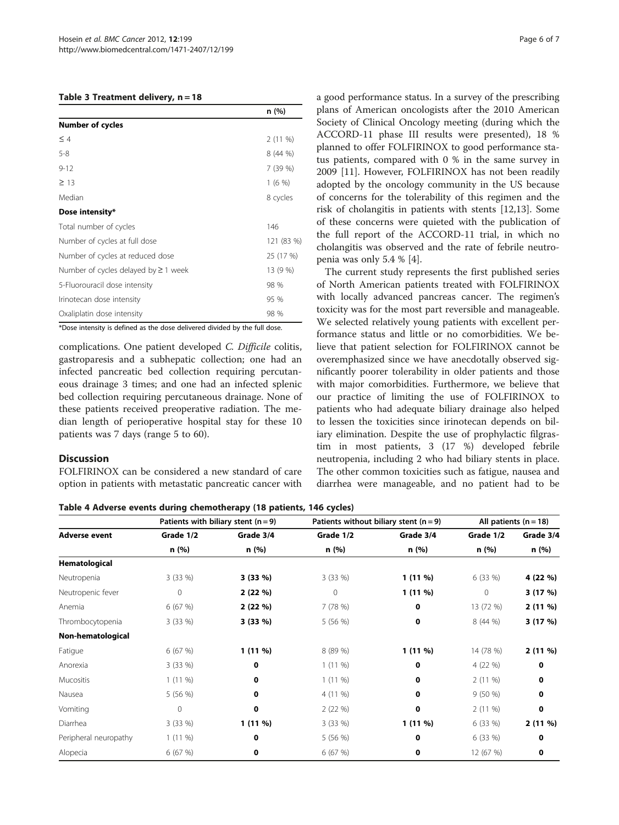#### <span id="page-5-0"></span>Table 3 Treatment delivery, n = 18

| n(%)       |
|------------|
|            |
| $2(11\%)$  |
| 8(44%)     |
| 7 (39 %)   |
| 1(6%)      |
| 8 cycles   |
|            |
| 146        |
| 121 (83 %) |
| 25 (17 %)  |
| 13 (9 %)   |
| 98 %       |
| 95 %       |
| 98 %       |
|            |

\*Dose intensity is defined as the dose delivered divided by the full dose.

complications. One patient developed C. Difficile colitis, gastroparesis and a subhepatic collection; one had an infected pancreatic bed collection requiring percutaneous drainage 3 times; and one had an infected splenic bed collection requiring percutaneous drainage. None of these patients received preoperative radiation. The median length of perioperative hospital stay for these 10 patients was 7 days (range 5 to 60).

# **Discussion**

FOLFIRINOX can be considered a new standard of care option in patients with metastatic pancreatic cancer with a good performance status. In a survey of the prescribing plans of American oncologists after the 2010 American Society of Clinical Oncology meeting (during which the ACCORD-11 phase III results were presented), 18 % planned to offer FOLFIRINOX to good performance status patients, compared with 0 % in the same survey in 2009 [\[11](#page-6-0)]. However, FOLFIRINOX has not been readily adopted by the oncology community in the US because of concerns for the tolerability of this regimen and the risk of cholangitis in patients with stents [[12,13\]](#page-6-0). Some of these concerns were quieted with the publication of the full report of the ACCORD-11 trial, in which no cholangitis was observed and the rate of febrile neutropenia was only 5.4 % [[4\]](#page-6-0).

The current study represents the first published series of North American patients treated with FOLFIRINOX with locally advanced pancreas cancer. The regimen's toxicity was for the most part reversible and manageable. We selected relatively young patients with excellent performance status and little or no comorbidities. We believe that patient selection for FOLFIRINOX cannot be overemphasized since we have anecdotally observed significantly poorer tolerability in older patients and those with major comorbidities. Furthermore, we believe that our practice of limiting the use of FOLFIRINOX to patients who had adequate biliary drainage also helped to lessen the toxicities since irinotecan depends on biliary elimination. Despite the use of prophylactic filgrastim in most patients, 3 (17 %) developed febrile neutropenia, including 2 who had biliary stents in place. The other common toxicities such as fatigue, nausea and diarrhea were manageable, and no patient had to be

| Table 4 Adverse events during chemotherapy (18 patients, 146 cycles) |  |  |  |  |  |  |
|----------------------------------------------------------------------|--|--|--|--|--|--|
|----------------------------------------------------------------------|--|--|--|--|--|--|

|                       | Patients with biliary stent $(n=9)$ |             | Patients without biliary stent ( $n = 9$ ) | All patients $(n = 18)$ |              |           |
|-----------------------|-------------------------------------|-------------|--------------------------------------------|-------------------------|--------------|-----------|
| <b>Adverse event</b>  | Grade 1/2                           | Grade 3/4   | Grade 1/2                                  | Grade 3/4               | Grade 1/2    | Grade 3/4 |
|                       | n (%)                               | n (%)       | n (%)                                      | n(%)                    | n (%)        | n (%)     |
| Hematological         |                                     |             |                                            |                         |              |           |
| Neutropenia           | 3(33%)                              | $3(33\%)$   | 3(33%)                                     | $1(11\%)$               | 6 (33 %)     | 4 (22 %)  |
| Neutropenic fever     | $\mathbf 0$                         | 2(22%)      | $\circ$                                    | $1(11\%)$               | $\mathbf{0}$ | 3(17%)    |
| Anemia                | 6(67%)                              | 2(22%)      | 7(78%)                                     | 0                       | 13 (72 %)    | $2(11\%)$ |
| Thrombocytopenia      | 3(33%)                              | 3 (33 %)    | 5(56%)                                     | 0                       | 8 (44 %)     | 3(17%)    |
| Non-hematological     |                                     |             |                                            |                         |              |           |
| Fatigue               | 6(67%)                              | $1(11\%)$   | 8 (89 %)                                   | $1(11\%)$               | 14 (78 %)    | 2(11%)    |
| Anorexia              | 3(33%)                              | $\mathbf 0$ | $1(11\%)$                                  | 0                       | 4 (22 %)     | 0         |
| Mucositis             | $1(11\%)$                           | 0           | $1(11\%)$                                  | 0                       | $2(11\%)$    | 0         |
| Nausea                | 5(56%)                              | 0           | 4 (11 %)                                   | 0                       | 9(50%        | 0         |
| Vomiting              | 0                                   | $\mathbf 0$ | 2(22%)                                     | 0                       | $2(11\%)$    | 0         |
| Diarrhea              | 3(33%)                              | $1(11\%)$   | 3(33%)                                     | $1(11\%)$               | 6 (33 %)     | $2(11\%)$ |
| Peripheral neuropathy | $1(11\%)$                           | $\mathbf 0$ | 5(56%)                                     | 0                       | 6 (33 %)     | 0         |
| Alopecia              | 6(67%)                              | $\mathbf 0$ | 6(67%)                                     | 0                       | 12 (67 %)    | 0         |